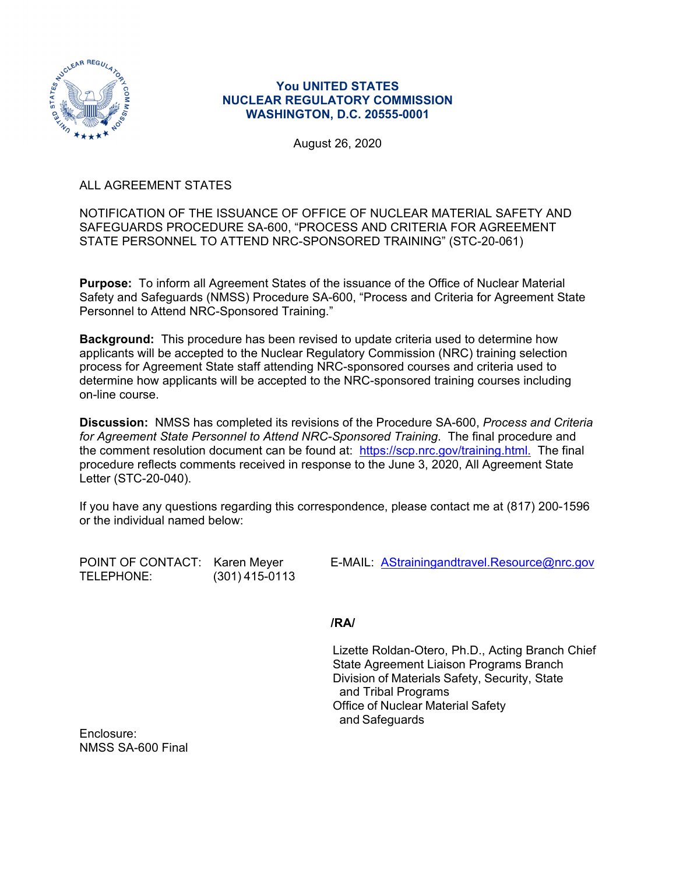

## **You UNITED STATES NUCLEAR REGULATORY COMMISSION WASHINGTON, D.C. 20555-0001**

August 26, 2020

ALL AGREEMENT STATES

NOTIFICATION OF THE ISSUANCE OF OFFICE OF NUCLEAR MATERIAL SAFETY AND SAFEGUARDS PROCEDURE SA-600, "PROCESS AND CRITERIA FOR AGREEMENT STATE PERSONNEL TO ATTEND NRC-SPONSORED TRAINING" (STC-20-061)

**Purpose:** To inform all Agreement States of the issuance of the Office of Nuclear Material Safety and Safeguards (NMSS) Procedure SA-600, "Process and Criteria for Agreement State Personnel to Attend NRC-Sponsored Training."

**Background:** This procedure has been revised to update criteria used to determine how applicants will be accepted to the Nuclear Regulatory Commission (NRC) training selection process for Agreement State staff attending NRC-sponsored courses and criteria used to determine how applicants will be accepted to the NRC-sponsored training courses including on-line course.

**Discussion:** NMSS has completed its revisions of the Procedure SA-600, *Process and Criteria for Agreement State Personnel to Attend NRC-Sponsored Training*. The final procedure and the comment resolution document can be found at: https://scp.nrc.gov/training.html. The final procedure reflects comments received in response to the June 3, 2020, All Agreement State Letter (STC-20-040).

If you have any questions regarding this correspondence, please contact me at (817) 200-1596 or the individual named below:

TELEPHONE: (301) 415-0113

POINT OF CONTACT: Karen Meyer E-MAIL: AStrainingandtravel.Resource@nrc.gov

**/RA/**

Lizette Roldan-Otero, Ph.D., Acting Branch Chief State Agreement Liaison Programs Branch Division of Materials Safety, Security, State and Tribal Programs Office of Nuclear Material Safety and Safeguards

Enclosure: NMSS SA-600 Final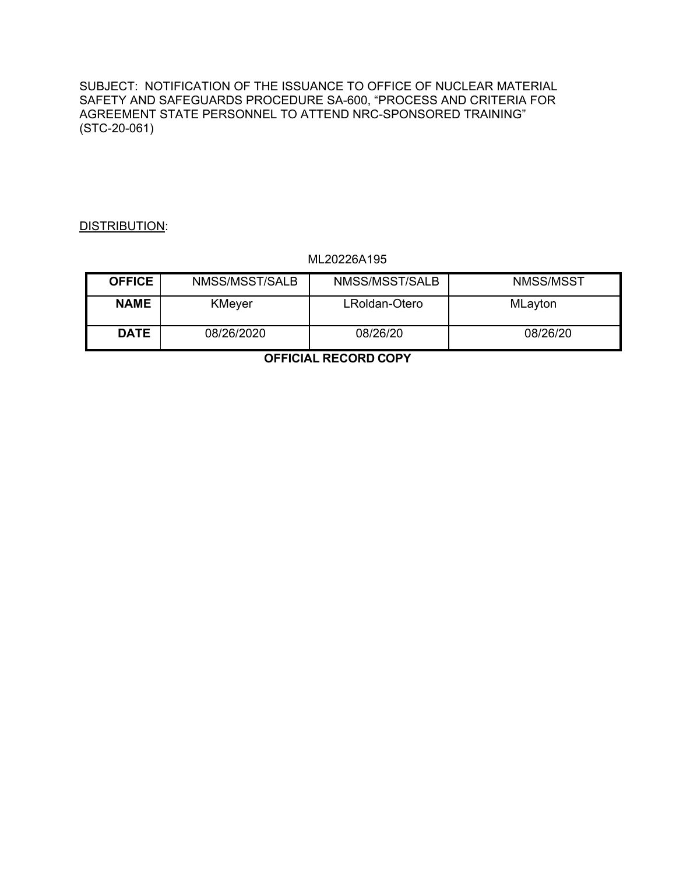SUBJECT: NOTIFICATION OF THE ISSUANCE TO OFFICE OF NUCLEAR MATERIAL SAFETY AND SAFEGUARDS PROCEDURE SA-600, "PROCESS AND CRITERIA FOR AGREEMENT STATE PERSONNEL TO ATTEND NRC-SPONSORED TRAINING" (STC-20-061)

## DISTRIBUTION:

#### ML20226A195

| <b>OFFICE</b> | NMSS/MSST/SALB | NMSS/MSST/SALB | NMSS/MSST |
|---------------|----------------|----------------|-----------|
| <b>NAME</b>   | <b>KMeyer</b>  | LRoldan-Otero  | MLayton   |
| <b>DATE</b>   | 08/26/2020     | 08/26/20       | 08/26/20  |

**OFFICIAL RECORD COPY**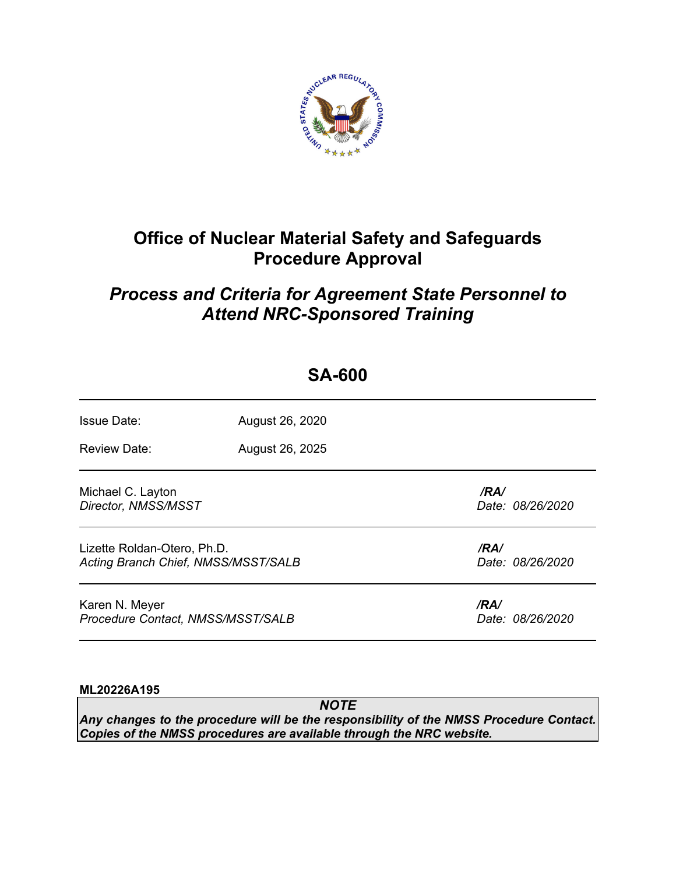

# **Office of Nuclear Material Safety and Safeguards Procedure Approval**

## *Process and Criteria for Agreement State Personnel to Attend NRC-Sponsored Training*

 **SA-600**

| UA-UUU                                                             |                 |                          |  |  |  |
|--------------------------------------------------------------------|-----------------|--------------------------|--|--|--|
| <b>Issue Date:</b>                                                 | August 26, 2020 |                          |  |  |  |
| <b>Review Date:</b>                                                | August 26, 2025 |                          |  |  |  |
| Michael C. Layton<br>Director, NMSS/MSST                           |                 | /RA/<br>Date: 08/26/2020 |  |  |  |
| Lizette Roldan-Otero, Ph.D.<br>Acting Branch Chief, NMSS/MSST/SALB |                 | /RA/<br>Date: 08/26/2020 |  |  |  |
| Karen N. Meyer<br>Procedure Contact, NMSS/MSST/SALB                |                 | /RA/<br>Date: 08/26/2020 |  |  |  |

## **ML20226A195**

*NOTE Any changes to the procedure will be the responsibility of the NMSS Procedure Contact. Copies of the NMSS procedures are available through the NRC website.*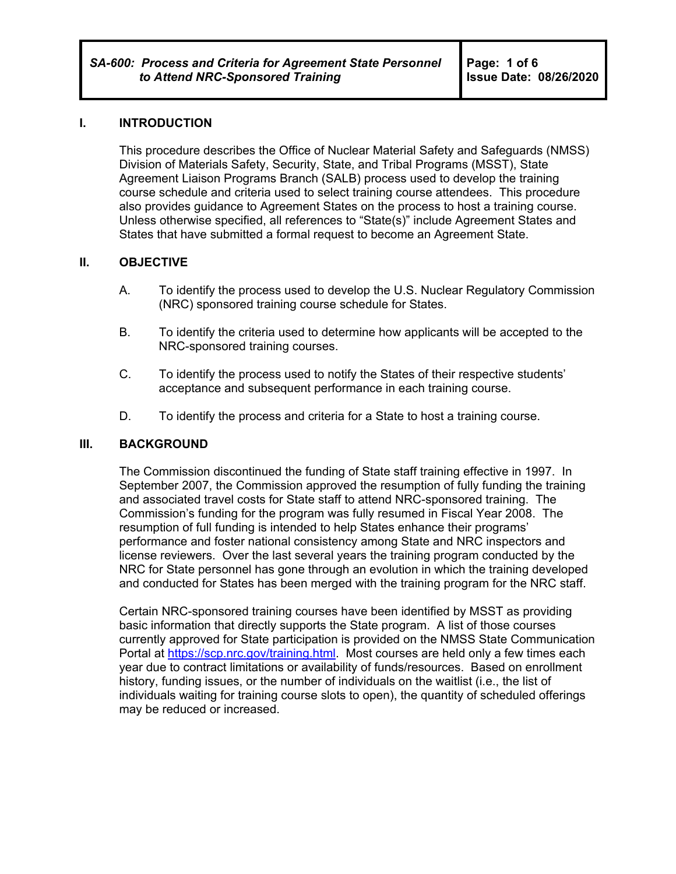#### **I. INTRODUCTION**

This procedure describes the Office of Nuclear Material Safety and Safeguards (NMSS) Division of Materials Safety, Security, State, and Tribal Programs (MSST), State Agreement Liaison Programs Branch (SALB) process used to develop the training course schedule and criteria used to select training course attendees. This procedure also provides guidance to Agreement States on the process to host a training course. Unless otherwise specified, all references to "State(s)" include Agreement States and States that have submitted a formal request to become an Agreement State.

#### **II. OBJECTIVE**

- A. To identify the process used to develop the U.S. Nuclear Regulatory Commission (NRC) sponsored training course schedule for States.
- B. To identify the criteria used to determine how applicants will be accepted to the NRC-sponsored training courses.
- C. To identify the process used to notify the States of their respective students' acceptance and subsequent performance in each training course.
- D. To identify the process and criteria for a State to host a training course.

#### **III. BACKGROUND**

The Commission discontinued the funding of State staff training effective in 1997. In September 2007, the Commission approved the resumption of fully funding the training and associated travel costs for State staff to attend NRC-sponsored training. The Commission's funding for the program was fully resumed in Fiscal Year 2008. The resumption of full funding is intended to help States enhance their programs' performance and foster national consistency among State and NRC inspectors and license reviewers. Over the last several years the training program conducted by the NRC for State personnel has gone through an evolution in which the training developed and conducted for States has been merged with the training program for the NRC staff.

Certain NRC-sponsored training courses have been identified by MSST as providing basic information that directly supports the State program. A list of those courses currently approved for State participation is provided on the NMSS State Communication Portal at https://scp.nrc.gov/training.html. Most courses are held only a few times each year due to contract limitations or availability of funds/resources. Based on enrollment history, funding issues, or the number of individuals on the waitlist (i.e., the list of individuals waiting for training course slots to open), the quantity of scheduled offerings may be reduced or increased.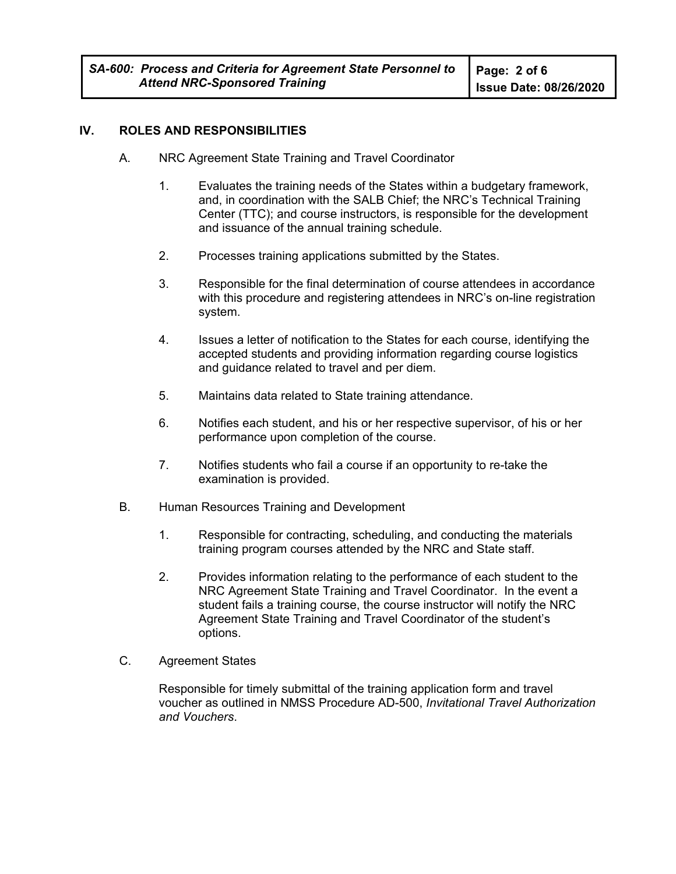## **IV. ROLES AND RESPONSIBILITIES**

- A. NRC Agreement State Training and Travel Coordinator
	- 1. Evaluates the training needs of the States within a budgetary framework, and, in coordination with the SALB Chief; the NRC's Technical Training Center (TTC); and course instructors, is responsible for the development and issuance of the annual training schedule.
	- 2. Processes training applications submitted by the States.
	- 3. Responsible for the final determination of course attendees in accordance with this procedure and registering attendees in NRC's on-line registration system.
	- 4. Issues a letter of notification to the States for each course, identifying the accepted students and providing information regarding course logistics and guidance related to travel and per diem.
	- 5. Maintains data related to State training attendance.
	- 6. Notifies each student, and his or her respective supervisor, of his or her performance upon completion of the course.
	- 7. Notifies students who fail a course if an opportunity to re-take the examination is provided.
- B. Human Resources Training and Development
	- 1. Responsible for contracting, scheduling, and conducting the materials training program courses attended by the NRC and State staff.
	- 2. Provides information relating to the performance of each student to the NRC Agreement State Training and Travel Coordinator. In the event a student fails a training course, the course instructor will notify the NRC Agreement State Training and Travel Coordinator of the student's options.
- C. Agreement States

Responsible for timely submittal of the training application form and travel voucher as outlined in NMSS Procedure AD-500, *Invitational Travel Authorization and Vouchers*.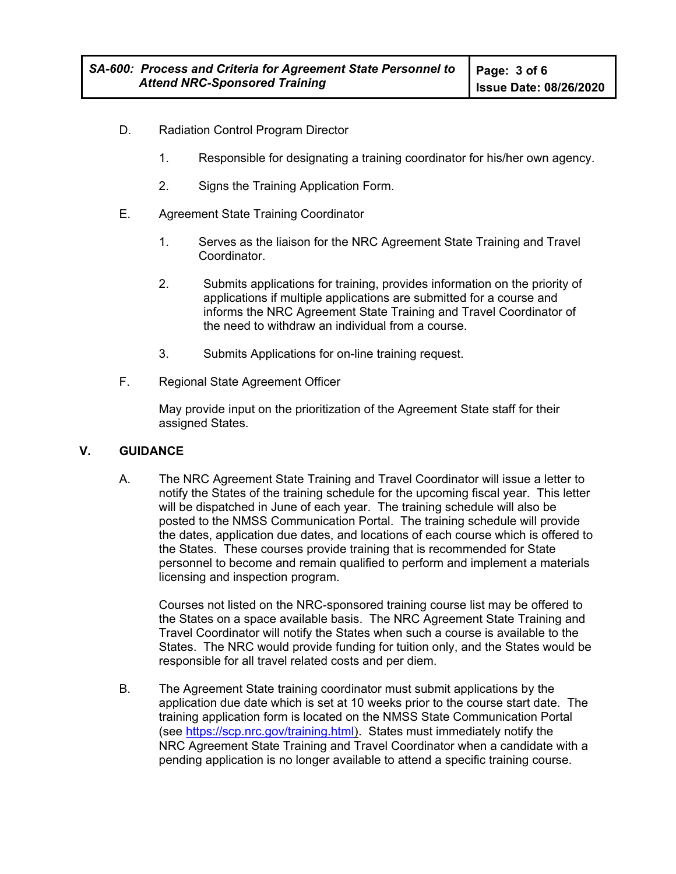- D. Radiation Control Program Director
	- 1. Responsible for designating a training coordinator for his/her own agency.
	- 2. Signs the Training Application Form.
- E. Agreement State Training Coordinator
	- 1. Serves as the liaison for the NRC Agreement State Training and Travel Coordinator.
	- 2. Submits applications for training, provides information on the priority of applications if multiple applications are submitted for a course and informs the NRC Agreement State Training and Travel Coordinator of the need to withdraw an individual from a course.
	- 3. Submits Applications for on-line training request.
- F. Regional State Agreement Officer

 May provide input on the prioritization of the Agreement State staff for their assigned States.

## **V. GUIDANCE**

A. The NRC Agreement State Training and Travel Coordinator will issue a letter to notify the States of the training schedule for the upcoming fiscal year. This letter will be dispatched in June of each year. The training schedule will also be posted to the NMSS Communication Portal. The training schedule will provide the dates, application due dates, and locations of each course which is offered to the States. These courses provide training that is recommended for State personnel to become and remain qualified to perform and implement a materials licensing and inspection program.

Courses not listed on the NRC-sponsored training course list may be offered to the States on a space available basis. The NRC Agreement State Training and Travel Coordinator will notify the States when such a course is available to the States. The NRC would provide funding for tuition only, and the States would be responsible for all travel related costs and per diem.

B. The Agreement State training coordinator must submit applications by the application due date which is set at 10 weeks prior to the course start date. The training application form is located on the NMSS State Communication Portal (see https://scp.nrc.gov/training.html). States must immediately notify the NRC Agreement State Training and Travel Coordinator when a candidate with a pending application is no longer available to attend a specific training course.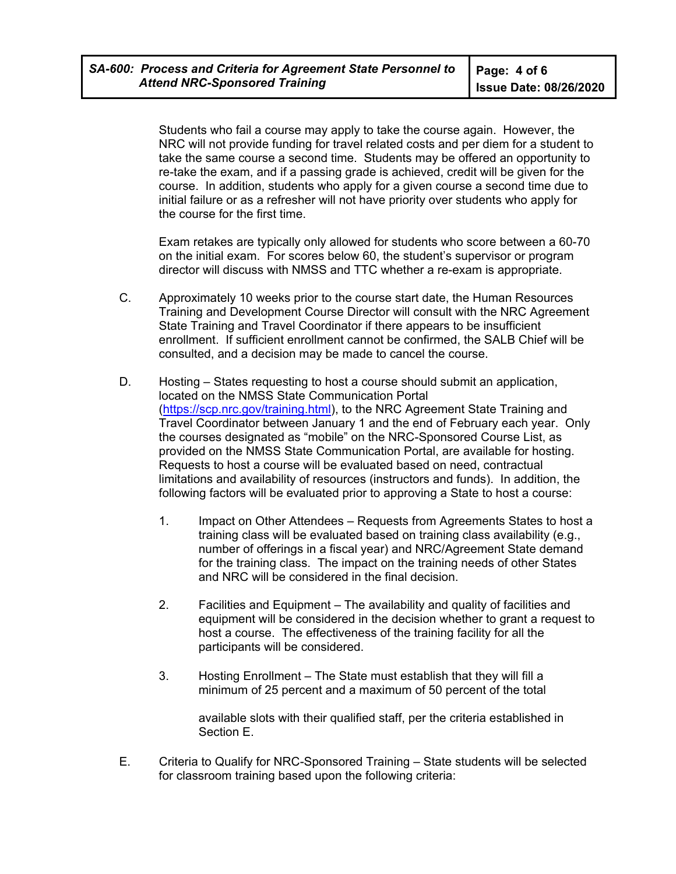Students who fail a course may apply to take the course again. However, the NRC will not provide funding for travel related costs and per diem for a student to take the same course a second time. Students may be offered an opportunity to re-take the exam, and if a passing grade is achieved, credit will be given for the course. In addition, students who apply for a given course a second time due to initial failure or as a refresher will not have priority over students who apply for the course for the first time.

 Exam retakes are typically only allowed for students who score between a 60-70 on the initial exam. For scores below 60, the student's supervisor or program director will discuss with NMSS and TTC whether a re-exam is appropriate.

- C. Approximately 10 weeks prior to the course start date, the Human Resources Training and Development Course Director will consult with the NRC Agreement State Training and Travel Coordinator if there appears to be insufficient enrollment. If sufficient enrollment cannot be confirmed, the SALB Chief will be consulted, and a decision may be made to cancel the course.
- D. Hosting States requesting to host a course should submit an application, located on the NMSS State Communication Portal (https://scp.nrc.gov/training.html), to the NRC Agreement State Training and Travel Coordinator between January 1 and the end of February each year. Only the courses designated as "mobile" on the NRC-Sponsored Course List, as provided on the NMSS State Communication Portal, are available for hosting. Requests to host a course will be evaluated based on need, contractual limitations and availability of resources (instructors and funds). In addition, the following factors will be evaluated prior to approving a State to host a course:
	- 1. Impact on Other Attendees Requests from Agreements States to host a training class will be evaluated based on training class availability (e.g., number of offerings in a fiscal year) and NRC/Agreement State demand for the training class. The impact on the training needs of other States and NRC will be considered in the final decision.
	- 2. Facilities and Equipment The availability and quality of facilities and equipment will be considered in the decision whether to grant a request to host a course. The effectiveness of the training facility for all the participants will be considered.
	- 3. Hosting Enrollment The State must establish that they will fill a minimum of 25 percent and a maximum of 50 percent of the total

available slots with their qualified staff, per the criteria established in Section E.

E. Criteria to Qualify for NRC-Sponsored Training – State students will be selected for classroom training based upon the following criteria: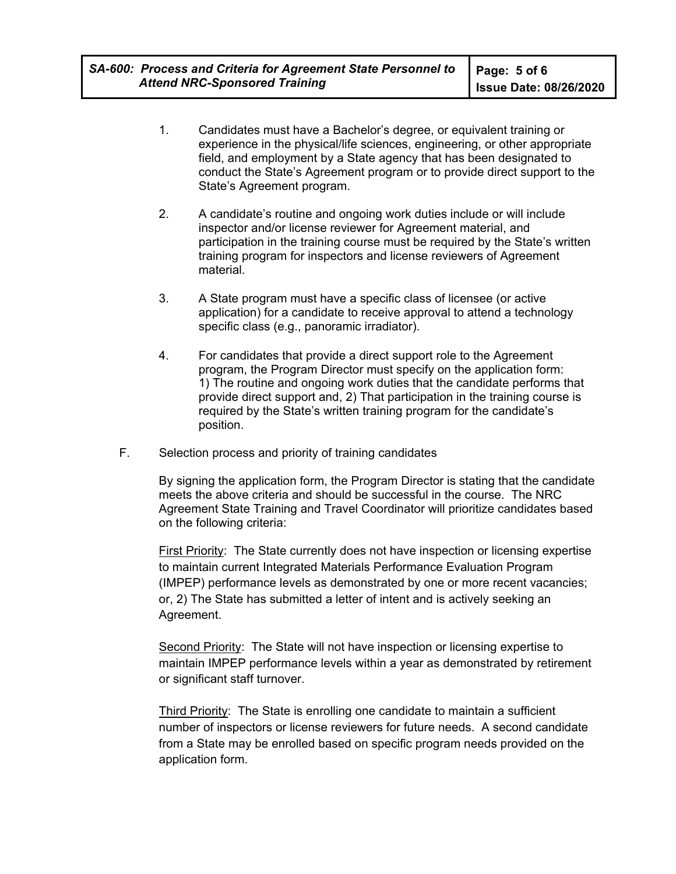- 1. Candidates must have a Bachelor's degree, or equivalent training or experience in the physical/life sciences, engineering, or other appropriate field, and employment by a State agency that has been designated to conduct the State's Agreement program or to provide direct support to the State's Agreement program.
- 2. A candidate's routine and ongoing work duties include or will include inspector and/or license reviewer for Agreement material, and participation in the training course must be required by the State's written training program for inspectors and license reviewers of Agreement material.
- 3. A State program must have a specific class of licensee (or active application) for a candidate to receive approval to attend a technology specific class (e.g., panoramic irradiator).
- 4. For candidates that provide a direct support role to the Agreement program, the Program Director must specify on the application form: 1) The routine and ongoing work duties that the candidate performs that provide direct support and, 2) That participation in the training course is required by the State's written training program for the candidate's position.
- F. Selection process and priority of training candidates

By signing the application form, the Program Director is stating that the candidate meets the above criteria and should be successful in the course. The NRC Agreement State Training and Travel Coordinator will prioritize candidates based on the following criteria:

First Priority: The State currently does not have inspection or licensing expertise to maintain current Integrated Materials Performance Evaluation Program (IMPEP) performance levels as demonstrated by one or more recent vacancies; or, 2) The State has submitted a letter of intent and is actively seeking an Agreement.

Second Priority: The State will not have inspection or licensing expertise to maintain IMPEP performance levels within a year as demonstrated by retirement or significant staff turnover.

Third Priority: The State is enrolling one candidate to maintain a sufficient number of inspectors or license reviewers for future needs. A second candidate from a State may be enrolled based on specific program needs provided on the application form.